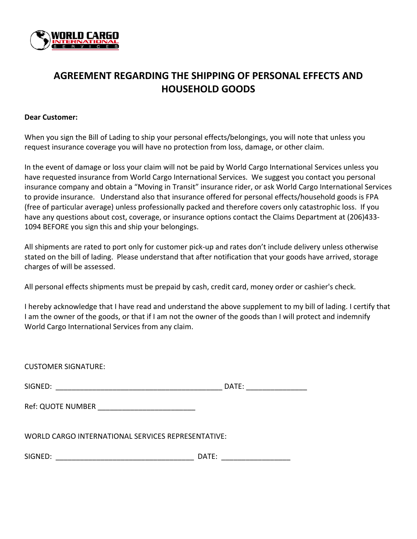

## **AGREEMENT REGARDING THE SHIPPING OF PERSONAL EFFECTS AND HOUSEHOLD GOODS**

## **Dear Customer:**

When you sign the Bill of Lading to ship your personal effects/belongings, you will note that unless you request insurance coverage you will have no protection from loss, damage, or other claim.

In the event of damage or loss your claim will not be paid by World Cargo International Services unless you have requested insurance from World Cargo International Services. We suggest you contact you personal insurance company and obtain a "Moving in Transit" insurance rider, or ask World Cargo International Services to provide insurance. Understand also that insurance offered for personal effects/household goods is FPA (free of particular average) unless professionally packed and therefore covers only catastrophic loss. If you have any questions about cost, coverage, or insurance options contact the Claims Department at (206)433-1094 BEFORE you sign this and ship your belongings.

All shipments are rated to port only for customer pick-up and rates don't include delivery unless otherwise stated on the bill of lading. Please understand that after notification that your goods have arrived, storage charges of will be assessed.

All personal effects shipments must be prepaid by cash, credit card, money order or cashier's check.

I hereby acknowledge that I have read and understand the above supplement to my bill of lading. I certify that I am the owner of the goods, or that if I am not the owner of the goods than I will protect and indemnify World Cargo International Services from any claim.

SIGNED: \_\_\_\_\_\_\_\_\_\_\_\_\_\_\_\_\_\_\_\_\_\_\_\_\_\_\_\_\_\_\_\_\_\_\_\_\_\_\_\_\_ DATE: \_\_\_\_\_\_\_\_\_\_\_\_\_\_\_

Ref: QUOTE NUMBER

WORLD CARGO INTERNATIONAL SERVICES REPRESENTATIVE:

SIGNED: \_\_\_\_\_\_\_\_\_\_\_\_\_\_\_\_\_\_\_\_\_\_\_\_\_\_\_\_\_\_\_\_\_\_ DATE: \_\_\_\_\_\_\_\_\_\_\_\_\_\_\_\_\_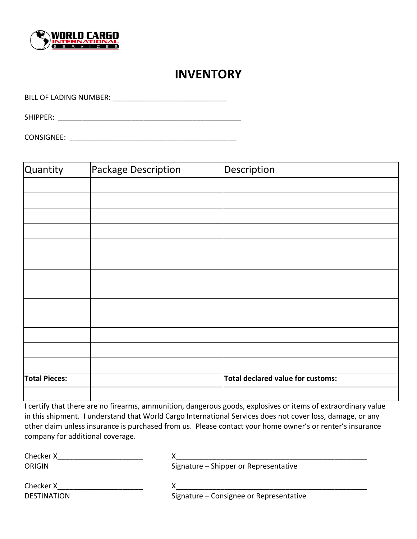

## **INVENTORY**

BILL OF LADING NUMBER: \_\_\_\_\_\_\_\_\_\_\_\_\_\_\_\_\_\_\_\_\_\_\_\_\_\_\_\_

SHIPPER: **Example 2008** 

| <b>CONSIGNEE:</b> |  |
|-------------------|--|
|                   |  |

| Quantity             | Package Description | Description                       |
|----------------------|---------------------|-----------------------------------|
|                      |                     |                                   |
|                      |                     |                                   |
|                      |                     |                                   |
|                      |                     |                                   |
|                      |                     |                                   |
|                      |                     |                                   |
|                      |                     |                                   |
|                      |                     |                                   |
|                      |                     |                                   |
|                      |                     |                                   |
|                      |                     |                                   |
|                      |                     |                                   |
|                      |                     |                                   |
| <b>Total Pieces:</b> |                     | Total declared value for customs: |
|                      |                     |                                   |

I certify that there are no firearms, ammunition, dangerous goods, explosives or items of extraordinary value in this shipment. I understand that World Cargo International Services does not cover loss, damage, or any other claim unless insurance is purchased from us. Please contact your home owner's or renter's insurance company for additional coverage.

| Checker X          |                                         |
|--------------------|-----------------------------------------|
| <b>ORIGIN</b>      | Signature – Shipper or Representative   |
| Checker X          |                                         |
| <b>DESTINATION</b> | Signature - Consignee or Representative |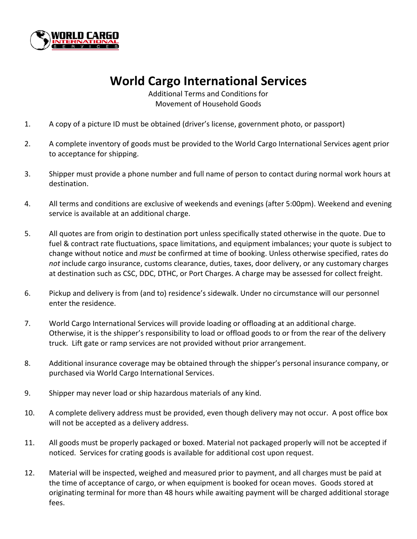

## **World Cargo International Services**

Additional Terms and Conditions for Movement of Household Goods

- 1. A copy of a picture ID must be obtained (driver's license, government photo, or passport)
- 2. A complete inventory of goods must be provided to the World Cargo International Services agent prior to acceptance for shipping.
- 3. Shipper must provide a phone number and full name of person to contact during normal work hours at destination.
- 4. All terms and conditions are exclusive of weekends and evenings (after 5:00pm). Weekend and evening service is available at an additional charge.
- 5. All quotes are from origin to destination port unless specifically stated otherwise in the quote. Due to fuel & contract rate fluctuations, space limitations, and equipment imbalances; your quote is subject to change without notice and *must* be confirmed at time of booking. Unless otherwise specified, rates do *not* include cargo insurance, customs clearance, duties, taxes, door delivery, or any customary charges at destination such as CSC, DDC, DTHC, or Port Charges. A charge may be assessed for collect freight.
- 6. Pickup and delivery is from (and to) residence's sidewalk. Under no circumstance will our personnel enter the residence.
- 7. World Cargo International Services will provide loading or offloading at an additional charge. Otherwise, it is the shipper's responsibility to load or offload goods to or from the rear of the delivery truck. Lift gate or ramp services are not provided without prior arrangement.
- 8. Additional insurance coverage may be obtained through the shipper's personal insurance company, or purchased via World Cargo International Services.
- 9. Shipper may never load or ship hazardous materials of any kind.
- 10. A complete delivery address must be provided, even though delivery may not occur. A post office box will not be accepted as a delivery address.
- 11. All goods must be properly packaged or boxed. Material not packaged properly will not be accepted if noticed. Services for crating goods is available for additional cost upon request.
- 12. Material will be inspected, weighed and measured prior to payment, and all charges must be paid at the time of acceptance of cargo, or when equipment is booked for ocean moves. Goods stored at originating terminal for more than 48 hours while awaiting payment will be charged additional storage fees.